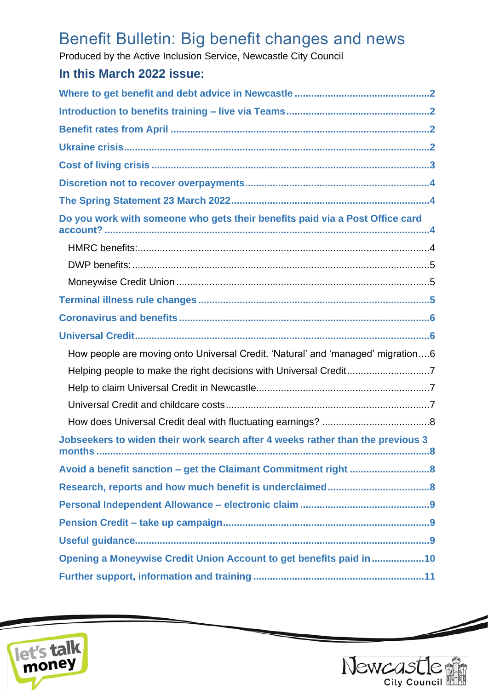# Benefit Bulletin: Big benefit changes and news

Produced by the Active Inclusion Service, Newcastle City Council

# **In this March 2022 issue:**

| Do you work with someone who gets their benefits paid via a Post Office card                      |
|---------------------------------------------------------------------------------------------------|
|                                                                                                   |
|                                                                                                   |
|                                                                                                   |
|                                                                                                   |
|                                                                                                   |
|                                                                                                   |
| How people are moving onto Universal Credit. 'Natural' and 'managed' migration6                   |
| Helping people to make the right decisions with Universal Credit7                                 |
|                                                                                                   |
|                                                                                                   |
|                                                                                                   |
| Jobseekers to widen their work search after 4 weeks rather than the previous 3<br>months<br>. . 8 |
|                                                                                                   |
|                                                                                                   |
|                                                                                                   |
|                                                                                                   |
|                                                                                                   |
| Opening a Moneywise Credit Union Account to get benefits paid in 10                               |
|                                                                                                   |





 $\overline{\phantom{a}}$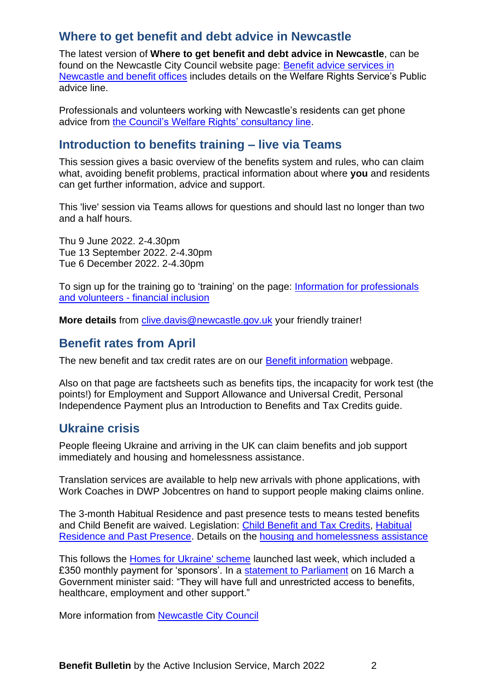# <span id="page-1-0"></span>**Where to get benefit and debt advice in Newcastle**

The latest version of **Where to get benefit and debt advice in Newcastle**, can be found on the Newcastle City Council website page: [Benefit advice services in](https://www.newcastle.gov.uk/services/welfare-benefits/welfare-rights-and-money-advice/benefit-advice-services-newcastle-and)  [Newcastle and benefit offices](https://www.newcastle.gov.uk/services/welfare-benefits/welfare-rights-and-money-advice/benefit-advice-services-newcastle-and) includes details on the Welfare Rights Service's Public advice line.

Professionals and volunteers working with Newcastle's residents can get phone advice from [the Council's Welfare Rights' consultancy line.](https://www.newcastle.gov.uk/services/welfare-benefits/welfare-rights-and-money-advice/information-professionals-and-volunteers#consult)

# <span id="page-1-1"></span>**Introduction to benefits training – live via Teams**

This session gives a basic overview of the benefits system and rules, who can claim what, avoiding benefit problems, practical information about where **you** and residents can get further information, advice and support.

This 'live' session via Teams allows for questions and should last no longer than two and a half hours.

Thu 9 June 2022. 2-4.30pm Tue 13 September 2022. 2-4.30pm Tue 6 December 2022. 2-4.30pm

To sign up for the training go to 'training' on the page: [Information for professionals](https://www.newcastle.gov.uk/services/welfare-benefits/welfare-rights-and-money-advice/information-professionals-and-volunteers#training)  and volunteers - [financial inclusion](https://www.newcastle.gov.uk/services/welfare-benefits/welfare-rights-and-money-advice/information-professionals-and-volunteers#training)

**More details** from [clive.davis@newcastle.gov.uk](mailto:clive.davis@newcastle.gov.uk) your friendly trainer!

### <span id="page-1-2"></span>**Benefit rates from April**

The new benefit and tax credit rates are on our [Benefit information](https://www.newcastle.gov.uk/services/welfare-benefits/welfare-rights-and-money-advice/benefits-information) webpage.

Also on that page are factsheets such as benefits tips, the incapacity for work test (the points!) for Employment and Support Allowance and Universal Credit, Personal Independence Payment plus an Introduction to Benefits and Tax Credits guide.

# <span id="page-1-3"></span>**Ukraine crisis**

People fleeing Ukraine and arriving in the UK can claim benefits and job support immediately and housing and homelessness assistance.

Translation services are available to help new arrivals with phone applications, with Work Coaches in DWP Jobcentres on hand to support people making claims online.

The 3-month Habitual Residence and past presence tests to means tested benefits and Child Benefit are waived. Legislation: [Child Benefit and Tax Credits,](https://www.legislation.gov.uk/uksi/2022/346/made) [Habitual](https://www.legislation.gov.uk/uksi/2022/344/made)  [Residence and Past Presence.](https://www.legislation.gov.uk/uksi/2022/344/made) Details on the [housing and homelessness assistance](https://www.legislation.gov.uk/id/uksi/2006/1294)

This follows the **Homes for Ukraine' scheme** launched last week, which included a £350 monthly payment for 'sponsors'. In a [statement to](https://hansard.parliament.uk/Lords/2022-03-16/debates/3850CEDD-1ACE-4EEB-92AF-CC1370CE08B9/UkraineSponsorshipScheme) Parliament on 16 March a Government minister said: "They will have full and unrestricted access to benefits, healthcare, employment and other support."

More information from [Newcastle City Council](https://www.newcastle.gov.uk/our-city/newcastles-international-relationships/support-ukraine)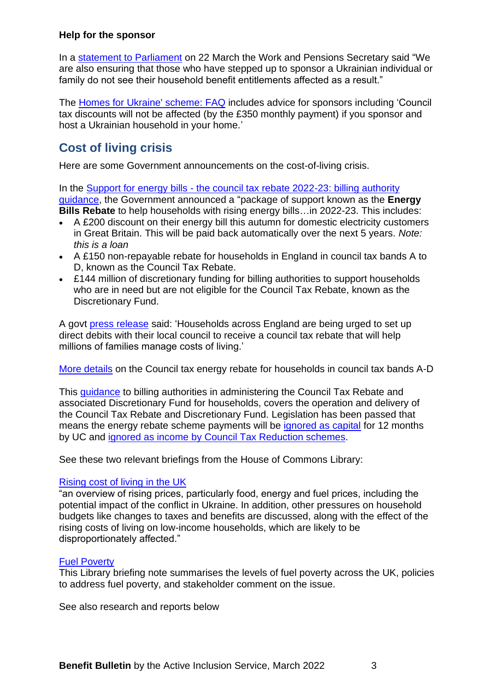#### **Help for the sponsor**

In a statement [to Parliament](https://www.gov.uk/government/speeches/work-and-pensions-secretary-topical-statement-homes-for-ukraine?utm_medium=email&utm_campaign=govuk-notifications-topic&utm_source=9e3a6be4-0f4f-4c79-9909-d580ad37568f&utm_content=daily) on 22 March the Work and Pensions Secretary said "We are also ensuring that those who have stepped up to sponsor a Ukrainian individual or family do not see their household benefit entitlements affected as a result."

The [Homes for Ukraine' scheme: FAQ](https://www.gov.uk/guidance/homes-for-ukraine-scheme-frequently-asked-questions#for-sponsors) includes advice for sponsors including 'Council tax discounts will not be affected (by the £350 monthly payment) if you sponsor and host a Ukrainian household in your home.'

# <span id="page-2-0"></span>**Cost of living crisis**

Here are some Government announcements on the cost-of-living crisis.

In the Support for energy bills - the council tax rebate 2022-23: billing authority [guidance,](https://www.gov.uk/government/publications/the-council-tax-rebate-2022-23-billing-authority-guidance/support-for-energy-bills-the-council-tax-rebate-2022-23-billing-authority-guidance#:~:text=The%20government%20has%20announced%20a,electricity%20customers%20in%20Great%20Britain.) the Government announced a "package of support known as the **Energy Bills Rebate** to help households with rising energy bills…in 2022-23. This includes:

- A £200 discount on their energy bill this autumn for domestic electricity customers in Great Britain. This will be paid back automatically over the next 5 years. *Note: this is a loan*
- A £150 non-repayable rebate for households in England in council tax bands A to D, known as the Council Tax Rebate.
- £144 million of discretionary funding for billing authorities to support households who are in need but are not eligible for the Council Tax Rebate, known as the Discretionary Fund.

A govt [press release](https://www.gov.uk/government/news/households-urged-to-get-ready-for-150-council-tax-rebate) said: 'Households across England are being urged to set up direct debits with their local council to receive a council tax rebate that will help millions of families manage costs of living.'

[More details](https://www.gov.uk/government/publications/52022-council-tax-information-letter-24-february-2022/council-tax-energy-rebate-information-leaflet-for-households-in-council-tax-bands-a-d) on the Council tax energy rebate for households in council tax bands A-D

This [guidance](https://www.gov.uk/government/publications/the-council-tax-rebate-2022-23-billing-authority-guidance/support-for-energy-bills-the-council-tax-rebate-2022-23-billing-authority-guidance) to billing authorities in administering the Council Tax Rebate and associated Discretionary Fund for households, covers the operation and delivery of the Council Tax Rebate and Discretionary Fund. Legislation has been passed that means the energy rebate scheme payments will be [ignored as capital](https://www.legislation.gov.uk/uksi/2022/257/made) for 12 months by UC and [ignored as income by Council Tax Reduction schemes.](https://www.legislation.gov.uk/uksi/2022/127/made)

See these two relevant briefings from the House of Commons Library:

#### [Rising cost of living in the UK](https://commonslibrary.parliament.uk/research-briefings/cbp-9428/?utm_source=HOC+Library+-+Research+alerts&utm_campaign=2f67fa15e2-EMAIL_CAMPAIGN_2022_03_08_08_00&utm_medium=email&utm_term=0_a9da1c9b17-2f67fa15e2-102519765&mc_cid=2f67fa15e2&mc_eid=896f3be410)

"an overview of rising prices, particularly food, energy and fuel prices, including the potential impact of the conflict in Ukraine. In addition, other pressures on household budgets like changes to taxes and benefits are discussed, along with the effect of the rising costs of living on low-income households, which are likely to be disproportionately affected."

#### [Fuel Poverty](https://parliament.us16.list-manage.com/track/click?u=3ad7e4c57a864f07e4db008c4&id=9c91809c0a&e=4045056713)

This Library briefing note summarises the levels of fuel poverty across the UK, policies to address fuel poverty, and stakeholder comment on the issue.

See also research and reports below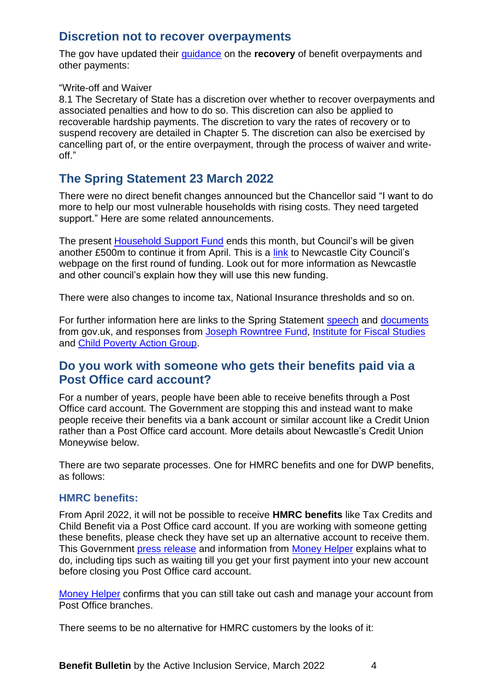# <span id="page-3-0"></span>**Discretion not to recover overpayments**

The gov have updated their [guidance](https://www.gov.uk/government/publications/benefit-overpayment-recovery-staff-guide/benefit-overpayment-recovery-guide#chapter-8--write-off-and-waiver) on the **recovery** of benefit overpayments and other payments:

#### "Write-off and Waiver

8.1 The Secretary of State has a discretion over whether to recover overpayments and associated penalties and how to do so. This discretion can also be applied to recoverable hardship payments. The discretion to vary the rates of recovery or to suspend recovery are detailed in Chapter 5. The discretion can also be exercised by cancelling part of, or the entire overpayment, through the process of waiver and writeoff."

# <span id="page-3-1"></span>**The Spring Statement 23 March 2022**

There were no direct benefit changes announced but the Chancellor said "I want to do more to help our most vulnerable households with rising costs. They need targeted support." Here are some related announcements.

The present [Household Support Fund](https://www.gov.uk/government/publications/household-support-fund-guidance-for-local-councils/household-support-fund-final-guidance-for-county-councils-and-unitary-authorities-in-england) ends this month, but Council's will be given another £500m to continue it from April. This is a [link](https://www.newcastle.gov.uk/services/public-health-wellbeing-and-leisure/public-health-services/coronavirus-covid-19/support-7) to Newcastle City Council's webpage on the first round of funding. Look out for more information as Newcastle and other council's explain how they will use this new funding.

There were also changes to income tax, National Insurance thresholds and so on.

For further information here are links to the Spring Statement [speech](https://www.gov.uk/government/speeches/spring-statement-2022-speech) and [documents](https://www.gov.uk/government/publications/spring-statement-2022-documents) from gov.uk, and responses from [Joseph Rowntree Fund,](https://www.jrf.org.uk/press/chancellor-has-abandoned-many-threat-destitution-not-economic-security-jrf-responds-spring) Institute [for Fiscal Studies](https://ifs.org.uk/publications/16003) and [Child Poverty Action Group.](https://cpag.org.uk/news-blogs/news-listings/spring-statement-chancellor-fails-children-who-needed-him-most)

# <span id="page-3-2"></span>**Do you work with someone who gets their benefits paid via a Post Office card account?**

For a number of years, people have been able to receive benefits through a Post Office card account. The Government are stopping this and instead want to make people receive their benefits via a bank account or similar account like a Credit Union rather than a Post Office card account. More details about Newcastle's Credit Union Moneywise below.

There are two separate processes. One for HMRC benefits and one for DWP benefits, as follows:

#### <span id="page-3-3"></span>**HMRC benefits:**

From April 2022, it will not be possible to receive **HMRC benefits** like Tax Credits and Child Benefit via a Post Office card account. If you are working with someone getting these benefits, please check they have set up an alternative account to receive them. This Government [press release](https://www.gov.uk/government/news/hmrc-customers-have-one-month-left-to-switch-their-post-office-card-account) and information from [Money Helper](https://www.moneyhelper.org.uk/en/benefits/universal-credit/choosing-a-bank-account-for-your-universal-credit-payment) explains what to do, including tips such as waiting till you get your first payment into your new account before closing you Post Office card account.

[Money Helper](https://www.moneyhelper.org.uk/en/benefits/problems-with-benefits/what-to-do-now-your-post-office-card-account-is-closing) confirms that you can still take out cash and manage your account from Post Office branches.

There seems to be no alternative for HMRC customers by the looks of it: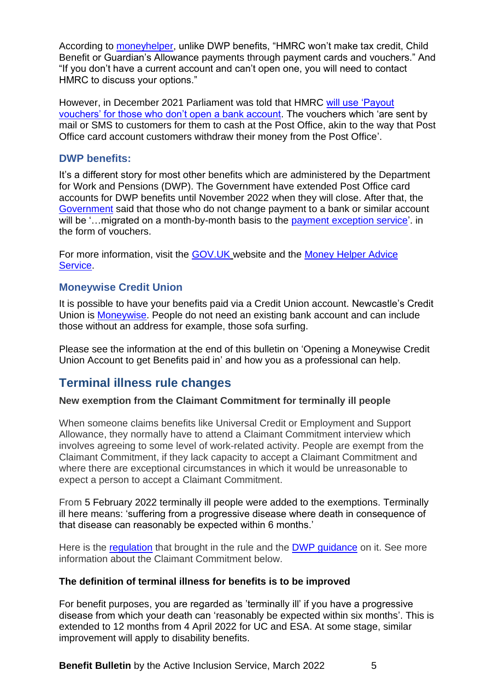According to **moneyhelper**, unlike DWP benefits, "HMRC won't make tax credit, Child Benefit or Guardian's Allowance payments through payment cards and vouchers." And "If you don't have a current account and can't open one, you will need to contact HMRC to discuss your options."

However, in December 2021 Parliament was told that HMRC [will use 'Payout](https://committees.parliament.uk/publications/8332/documents/84747/default/)  [vouchers' for those who don't open a bank account.](https://committees.parliament.uk/publications/8332/documents/84747/default/) The vouchers which 'are sent by mail or SMS to customers for them to cash at the Post Office, akin to the way that Post Office card account customers withdraw their money from the Post Office'.

#### <span id="page-4-0"></span>**DWP benefits:**

It's a different story for most other benefits which are administered by the Department for Work and Pensions (DWP). The Government have extended Post Office card accounts for DWP benefits until November 2022 when they will close. After that, the [Government](https://questions-statements.parliament.uk/written-questions/detail/2021-11-09/72482) said that those who do not change payment to a bank or similar account will be '...migrated on a month-by-month basis to the [payment exception service'](https://www.gov.uk/payment-exception-service). in the form of vouchers.

For more information, visit the [GOV.UK](https://www.gov.uk/how-to-have-your-benefits-paid) website and the [Money Helper Advice](https://www.moneyhelper.org.uk/en/benefits/problems-with-benefits/what-to-do-now-your-post-office-card-account-is-closing?source=mas)  [Service.](https://www.moneyhelper.org.uk/en/benefits/problems-with-benefits/what-to-do-now-your-post-office-card-account-is-closing?source=mas)

#### <span id="page-4-1"></span>**Moneywise Credit Union**

It is possible to have your benefits paid via a Credit Union account. Newcastle's Credit Union is [Moneywise.](https://www.moneywise.org.uk/) People do not need an existing bank account and can include those without an address for example, those sofa surfing.

Please see the information at the end of this bulletin on 'Opening a Moneywise Credit Union Account to get Benefits paid in' and how you as a professional can help.

# <span id="page-4-2"></span>**Terminal illness rule changes**

#### **New exemption from the Claimant Commitment for terminally ill people**

When someone claims benefits like Universal Credit or Employment and Support Allowance, they normally have to attend a Claimant Commitment interview which involves agreeing to some level of work-related activity. People are exempt from the Claimant Commitment, if they lack capacity to accept a Claimant Commitment and where there are exceptional circumstances in which it would be unreasonable to expect a person to accept a Claimant Commitment.

From 5 February 2022 terminally ill people were added to the exemptions. Terminally ill here means: 'suffering from a progressive disease where death in consequence of that disease can reasonably be expected within 6 months.'

Here is the [regulation](https://www.legislation.gov.uk/uksi/2022/60/made) that brought in the rule and the [DWP guidance](https://assets.publishing.service.gov.uk/government/uploads/system/uploads/attachment_data/file/1055825/adm-03-22.pdf) on it. See more information about the Claimant Commitment below.

#### **The definition of terminal illness for benefits is to be improved**

For benefit purposes, you are regarded as 'terminally ill' if you have a progressive disease from which your death can 'reasonably be expected within six months'. This is extended to 12 months from 4 April 2022 for UC and ESA. At some stage, similar improvement will apply to disability benefits.

**Benefit Bulletin** by the Active Inclusion Service, March 2022 5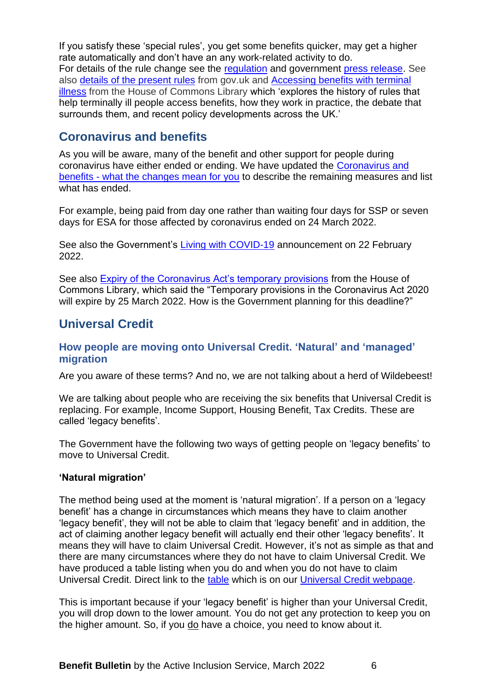If you satisfy these 'special rules', you get some benefits quicker, may get a higher rate automatically and don't have an any work-related activity to do. For details of the rule change see the [regulation](https://www.legislation.gov.uk/uksi/2022/260/made) and government [press release.](https://news.dwp.gov.uk/dwplz/lz.aspx?p1=M2GDU0Mzc0MVM1NDM0OkNBQTY3QUI0NDk2NDk4MTU0RTEwNjVBN0U5OUFCQUM3-&CC=&w=78135) See also [details of the present rules](https://www.gov.uk/terminal-illness-benefits) from gov.uk and [Accessing benefits with terminal](https://parliament.us16.list-manage.com/track/click?u=3ad7e4c57a864f07e4db008c4&id=4b0347d3a3&e=4045056713)  [illness](https://parliament.us16.list-manage.com/track/click?u=3ad7e4c57a864f07e4db008c4&id=4b0347d3a3&e=4045056713) from the House of Commons Library which 'explores the history of rules that help terminally ill people access benefits, how they work in practice, the debate that surrounds them, and recent policy developments across the UK.'

# <span id="page-5-0"></span>**Coronavirus and benefits**

As you will be aware, many of the benefit and other support for people during coronavirus have either ended or ending. We have updated the [Coronavirus and](https://www.newcastle.gov.uk/services/welfare-benefits/welfare-rights-and-money-advice/coronavirus-and-benefits-what-changes)  benefits - [what the changes mean for you](https://www.newcastle.gov.uk/services/welfare-benefits/welfare-rights-and-money-advice/coronavirus-and-benefits-what-changes) to describe the remaining measures and list what has ended.

For example, being paid from day one rather than waiting four days for SSP or seven days for ESA for those affected by coronavirus ended on 24 March 2022.

See also the Government's [Living with COVID-19](https://www.gov.uk/government/publications/covid-19-response-living-with-covid-19) announcement on 22 February 2022.

See also **Expiry of the Coronavirus Act's temporary provisions** from the House of Commons Library, which said the "Temporary provisions in the Coronavirus Act 2020 will expire by 25 March 2022. How is the Government planning for this deadline?"

# <span id="page-5-1"></span>**Universal Credit**

#### <span id="page-5-2"></span>**How people are moving onto Universal Credit. 'Natural' and 'managed' migration**

Are you aware of these terms? And no, we are not talking about a herd of Wildebeest!

We are talking about people who are receiving the six benefits that Universal Credit is replacing. For example, Income Support, Housing Benefit, Tax Credits. These are called 'legacy benefits'.

The Government have the following two ways of getting people on 'legacy benefits' to move to Universal Credit.

#### **'Natural migration'**

The method being used at the moment is 'natural migration'. If a person on a 'legacy benefit' has a change in circumstances which means they have to claim another 'legacy benefit', they will not be able to claim that 'legacy benefit' and in addition, the act of claiming another legacy benefit will actually end their other 'legacy benefits'. It means they will have to claim Universal Credit. However, it's not as simple as that and there are many circumstances where they do not have to claim Universal Credit. We have produced a table listing when you do and when you do not have to claim Universal Credit. Direct link to the [table](https://www.newcastle.gov.uk/sites/default/files/What%20can%20lead%20to%20a%20claim%20for%20Universal%20Credit%2027Jan2021.pdf) which is on our [Universal Credit webpage.](https://www.newcastle.gov.uk/services/welfare-benefits/welfare-rights-and-money-advice/changes-benefits-system/universal-credit)

This is important because if your 'legacy benefit' is higher than your Universal Credit, you will drop down to the lower amount. You do not get any protection to keep you on the higher amount. So, if you do have a choice, you need to know about it.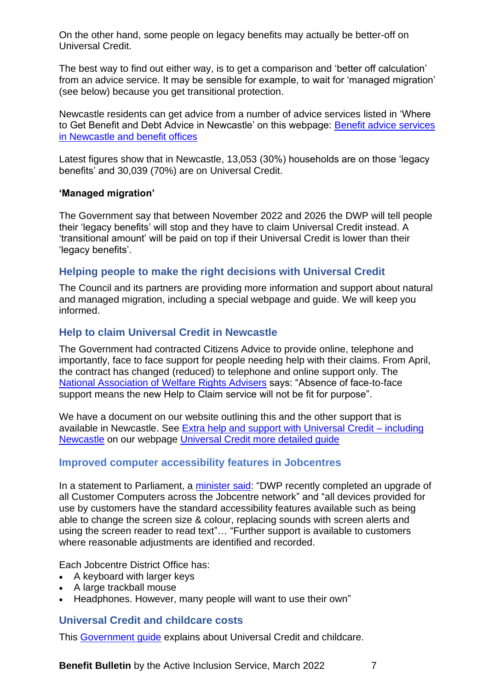On the other hand, some people on legacy benefits may actually be better-off on Universal Credit.

The best way to find out either way, is to get a comparison and 'better off calculation' from an advice service. It may be sensible for example, to wait for 'managed migration' (see below) because you get transitional protection.

Newcastle residents can get advice from a number of advice services listed in 'Where to Get Benefit and Debt Advice in Newcastle' on this webpage: [Benefit advice services](https://www.newcastle.gov.uk/services/welfare-benefits/welfare-rights-and-money-advice/benefit-advice-services-newcastle-and)  [in Newcastle and benefit offices](https://www.newcastle.gov.uk/services/welfare-benefits/welfare-rights-and-money-advice/benefit-advice-services-newcastle-and)

Latest figures show that in Newcastle, 13,053 (30%) households are on those 'legacy benefits' and 30,039 (70%) are on Universal Credit.

#### **'Managed migration'**

The Government say that between November 2022 and 2026 the DWP will tell people their 'legacy benefits' will stop and they have to claim Universal Credit instead. A 'transitional amount' will be paid on top if their Universal Credit is lower than their 'legacy benefits'.

#### <span id="page-6-0"></span>**Helping people to make the right decisions with Universal Credit**

The Council and its partners are providing more information and support about natural and managed migration, including a special webpage and guide. We will keep you informed.

#### <span id="page-6-1"></span>**Help to claim Universal Credit in Newcastle**

The Government had contracted Citizens Advice to provide online, telephone and importantly, face to face support for people needing help with their claims. From April, the contract has changed (reduced) to telephone and online support only. The [National Association of Welfare Rights Advisers](https://www.nawra.org.uk/2022/01/help-to-claim-service/) says: "Absence of face-to-face support means the new Help to Claim service will not be fit for purpose".

We have a document on our website outlining this and the other support that is available in Newcastle. See [Extra help and support with Universal Credit –](https://www.newcastle.gov.uk/services/welfare-benefits/welfare-rights-and-money-advice/changes-benefits-system/universal-credit#Extra) including [Newcastle](https://www.newcastle.gov.uk/services/welfare-benefits/welfare-rights-and-money-advice/changes-benefits-system/universal-credit#Extra) on our webpage [Universal Credit more detailed guide](https://www.newcastle.gov.uk/services/welfare-benefits/welfare-rights-and-money-advice/changes-benefits-system/universal-credit#Extra)

#### **Improved computer accessibility features in Jobcentres**

In a statement to Parliament, a [minister said:](https://questions-statements.parliament.uk/written-questions/detail/2022-02-01/115933) "DWP recently completed an upgrade of all Customer Computers across the Jobcentre network" and "all devices provided for use by customers have the standard accessibility features available such as being able to change the screen size & colour, replacing sounds with screen alerts and using the screen reader to read text"… "Further support is available to customers where reasonable adjustments are identified and recorded.

Each Jobcentre District Office has:

- A keyboard with larger keys
- A large trackball mouse
- Headphones. However, many people will want to use their own"

#### <span id="page-6-2"></span>**Universal Credit and childcare costs**

This [Government](https://www.gov.uk/government/publications/universal-credit-and-childcare?utm_medium=email&utm_campaign=govuk-notifications-topic&utm_source=24c18d40-7261-46f9-b8a6-05b87ee15dda&utm_content=daily) guide explains about Universal Credit and childcare.

**Benefit Bulletin** by the Active Inclusion Service, March 2022 7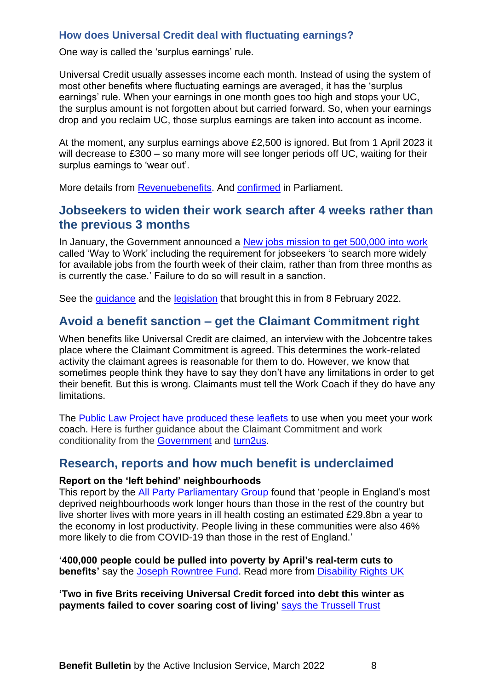#### <span id="page-7-0"></span>**How does Universal Credit deal with fluctuating earnings?**

One way is called the 'surplus earnings' rule.

Universal Credit usually assesses income each month. Instead of using the system of most other benefits where fluctuating earnings are averaged, it has the 'surplus earnings' rule. When your earnings in one month goes too high and stops your UC, the surplus amount is not forgotten about but carried forward. So, when your earnings drop and you reclaim UC, those surplus earnings are taken into account as income.

At the moment, any surplus earnings above £2,500 is ignored. But from 1 April 2023 it will decrease to £300 – so many more will see longer periods off UC, waiting for their surplus earnings to 'wear out'.

<span id="page-7-1"></span>More details from [Revenuebenefits.](https://revenuebenefits.org.uk/universal-credit/guidance/entitlement-to-uc/self-employment/surplus-earnings-and-losses/) And [confirmed](https://depositedpapers.parliament.uk/depositedpaper/2284082/files) in Parliament.

# **Jobseekers to widen their work search after 4 weeks rather than the previous 3 months**

In January, the Government announced a [New jobs mission to get 500,000 into work](https://www.gov.uk/government/news/new-jobs-mission-to-get-500-000-into-work?utm_source=https%3a%2f%2fnews.dwp.gov.uk%2fdwplz%2f&utm_medium=email&utm_campaign=Touchbase+-+28+January+2022&utm_term=Touchbase+-+28+January+2022&utm_content=38695) called 'Way to Work' including the requirement for jobseekers 'to search more widely for available jobs from the fourth week of their claim, rather than from three months as is currently the case.' Failure to do so will result in a sanction.

See the *guidance* and the **legislation** that brought this in from 8 February 2022.

# <span id="page-7-2"></span>**Avoid a benefit sanction – get the Claimant Commitment right**

When benefits like Universal Credit are claimed, an interview with the Jobcentre takes place where the Claimant Commitment is agreed. This determines the work-related activity the claimant agrees is reasonable for them to do. However, we know that sometimes people think they have to say they don't have any limitations in order to get their benefit. But this is wrong. Claimants must tell the Work Coach if they do have any limitations.

The [Public Law Project have produced these leaflets](https://claimantcommitments.org.uk/) to use when you meet your work coach. Here is further guidance about the Claimant Commitment and work conditionality from the [Government](https://www.gov.uk/government/publications/universal-credit-and-your-claimant-commitment-quick-guide/universal-credit-and-your-claimant-commitment#:~:text=The%20Claimant%20Commitment%20is%20your,don%27t%20meet%20your%20responsibilities.) and [turn2us.](https://www.turn2us.org.uk/Benefit-guides/Universal-Credit/Claimant-Commitment-Conditionality)

#### <span id="page-7-3"></span>**Research, reports and how much benefit is underclaimed**

#### **Report on the 'left behind' neighbourhoods**

This report by the [All Party Parliamentary Group](https://www.thenhsa.co.uk/app/uploads/2022/01/Overcoming-Health-Inequalities-Final.pdf) found that 'people in England's most deprived neighbourhoods work longer hours than those in the rest of the country but live shorter lives with more years in ill health costing an estimated £29.8bn a year to the economy in lost productivity. People living in these communities were also 46% more likely to die from COVID-19 than those in the rest of England.'

**'400,000 people could be pulled into poverty by April's real-term cuts to benefits'** say the [Joseph Rowntree Fund.](https://www.jrf.org.uk/press/400000-people-could-be-pulled-poverty-real-terms-cut-benefits-april) Read more from [Disability Rights UK](https://www.disabilityrightsuk.org/news/2022/march/400000-people-could-be-pulled-poverty-april-real-term-cut-benefits)

**'Two in five Brits receiving Universal Credit forced into debt this winter as payments failed to cover soaring cost of living'** [says the Trussell Trust](https://www.trusselltrust.org/2022/03/17/two-in-five-brits-receiving-universal-credit-forced-into-debt-this-winter-as-payments-failed-to-cover-soaring-cost-of-living-says-the-trussell-trust/)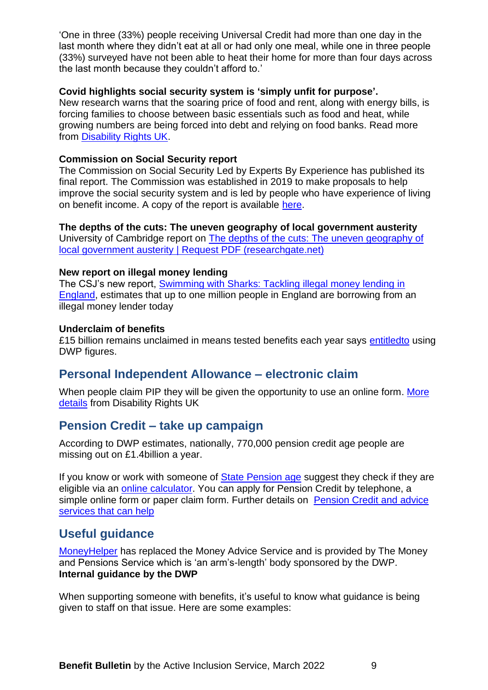'One in three (33%) people receiving Universal Credit had more than one day in the last month where they didn't eat at all or had only one meal, while one in three people (33%) surveyed have not been able to heat their home for more than four days across the last month because they couldn't afford to.'

#### **Covid highlights social security system is 'simply unfit for purpose'.**

New research warns that the soaring price of food and rent, along with energy bills, is forcing families to choose between basic essentials such as food and heat, while growing numbers are being forced into debt and relying on food banks. Read more from [Disability Rights UK.](https://www.disabilityrightsuk.org/sites/all/modules/civicrm/extern/url.php?u=62312&qid=10403943)

#### **Commission on Social Security report**

The Commission on Social Security Led by Experts By Experience has published its final report. The Commission was established in 2019 to make proposals to help improve the social security system and is led by people who have experience of living on benefit income. A copy of the report is available [here.](https://www.commissiononsocialsecurity.org/)

#### **The depths of the cuts: The uneven geography of local government austerity**

University of Cambridge report on [The depths of the cuts: The uneven geography of](https://www.researchgate.net/publication/328307020_The_depths_of_the_cuts_The_uneven_geography_of_local_government_austerity)  [local government austerity | Request PDF \(researchgate.net\)](https://www.researchgate.net/publication/328307020_The_depths_of_the_cuts_The_uneven_geography_of_local_government_austerity)

#### **New report on illegal money lending**

The CSJ's new report, [Swimming with Sharks: Tackling illegal money lending in](https://www.centreforsocialjustice.org.uk/library/swimming-with-sharks)  [England,](https://www.centreforsocialjustice.org.uk/library/swimming-with-sharks) estimates that up to one million people in England are borrowing from an illegal money lender today

#### **Underclaim of benefits**

£15 billion remains unclaimed in means tested benefits each year says [entitledto](https://www.entitledto.co.uk/blog/2022/february/our-annual-review-suggests-about-15-billion-of-benefits-remain-unclaimed-each-year) using DWP figures.

# <span id="page-8-0"></span>**Personal Independent Allowance – electronic claim**

When people claim PIP they will be given the opportunity to use an online form. More [details](https://www.disabilityrightsuk.org/news/2021/november/all-pip-claimants-be-offered-apply-online-option) from Disability Rights UK

# <span id="page-8-1"></span>**Pension Credit – take up campaign**

According to DWP estimates, nationally, 770,000 pension credit age people are missing out on £1.4billion a year.

If you know or work with someone of State [Pension age](https://www.gov.uk/state-pension-age) suggest they check if they are eligible via an [online calculator.](https://www.gov.uk/pension-credit-calculator) You can apply for Pension Credit by telephone, a simple online form or paper claim form. Further details on [Pension Credit](https://informationnow.us5.list-manage.com/track/click?u=6fd2552bac02593114eb7adc9&id=e160f22bfd&e=ebb55cb2cb) and advice [services that can help](https://informationnow.us5.list-manage.com/track/click?u=6fd2552bac02593114eb7adc9&id=e160f22bfd&e=ebb55cb2cb)

# <span id="page-8-2"></span>**Useful guidance**

[MoneyHelper](https://www.moneyhelper.org.uk/en) has replaced the Money Advice Service and is provided by The Money and Pensions Service which is 'an arm's-length' body sponsored by the DWP. **Internal guidance by the DWP** 

When supporting someone with benefits, it's useful to know what guidance is being given to staff on that issue. Here are some examples: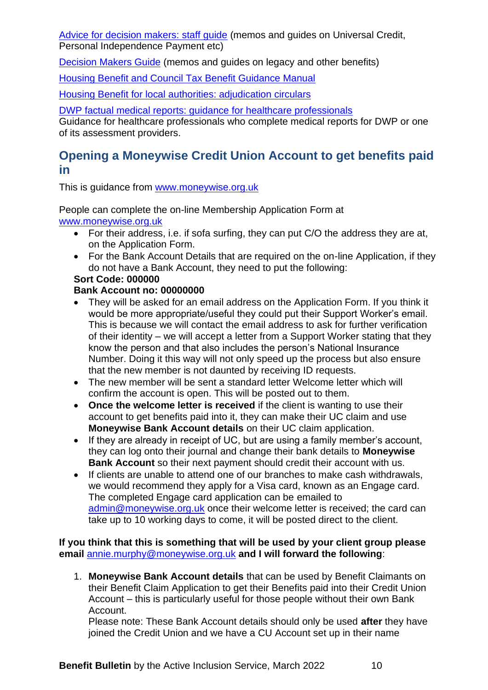[Advice for decision makers: staff guide](https://www.gov.uk/government/publications/advice-for-decision-making-staff-guide?utm_medium=email&utm_campaign=govuk-notifications&utm_source=c3d224c3-5969-4ed7-80e6-99a175a0b223&utm_content=daily) (memos and guides on Universal Credit, Personal Independence Payment etc)

[Decision Makers Guide](https://www.gov.uk/government/collections/decision-makers-guide-staff-guide) (memos and guides on legacy and other benefits)

[Housing Benefit and Council Tax Benefit Guidance Manual](https://www.gov.uk/government/collections/housing-benefit-and-council-tax-benefit-manual)

[Housing Benefit for local authorities: adjudication circulars](https://www.gov.uk/government/collections/housing-benefit-for-local-authorities-circulars)

[DWP factual medical reports: guidance for healthcare professionals](https://www.gov.uk/government/publications/dwp-factual-medical-reports-guidance-for-healthcare-professionals?utm_medium=email&utm_campaign=govuk-notifications&utm_source=59ad1e4f-7ed0-4999-9a7d-0ec915c706b4&utm_content=daily)

Guidance for healthcare professionals who complete medical reports for DWP or one of its assessment providers.

# <span id="page-9-0"></span>**Opening a Moneywise Credit Union Account to get benefits paid in**

This is guidance from [www.moneywise.org.uk](http://www.moneywise.org.uk/)

People can complete the on-line Membership Application Form at [www.moneywise.org.uk](http://www.moneywise.org.uk/)

- For their address, i.e. if sofa surfing, they can put C/O the address they are at, on the Application Form.
- For the Bank Account Details that are required on the on-line Application, if they do not have a Bank Account, they need to put the following:

# **Sort Code: 000000**

#### **Bank Account no: 00000000**

- They will be asked for an email address on the Application Form. If you think it would be more appropriate/useful they could put their Support Worker's email. This is because we will contact the email address to ask for further verification of their identity – we will accept a letter from a Support Worker stating that they know the person and that also includes the person's National Insurance Number. Doing it this way will not only speed up the process but also ensure that the new member is not daunted by receiving ID requests.
- The new member will be sent a standard letter Welcome letter which will confirm the account is open. This will be posted out to them.
- **Once the welcome letter is received** if the client is wanting to use their account to get benefits paid into it, they can make their UC claim and use **Moneywise Bank Account details** on their UC claim application.
- If they are already in receipt of UC, but are using a family member's account, they can log onto their journal and change their bank details to **Moneywise Bank Account** so their next payment should credit their account with us.
- If clients are unable to attend one of our branches to make cash withdrawals, we would recommend they apply for a Visa card, known as an Engage card. The completed Engage card application can be emailed to [admin@moneywise.org.uk](mailto:admin@moneywise.org.uk) once their welcome letter is received; the card can take up to 10 working days to come, it will be posted direct to the client.

**If you think that this is something that will be used by your client group please email** [annie.murphy@moneywise.org.uk](mailto:annie.murphy@moneywise.org.uk) **and I will forward the following**:

1. **Moneywise Bank Account details** that can be used by Benefit Claimants on their Benefit Claim Application to get their Benefits paid into their Credit Union Account – this is particularly useful for those people without their own Bank Account.

Please note: These Bank Account details should only be used **after** they have joined the Credit Union and we have a CU Account set up in their name